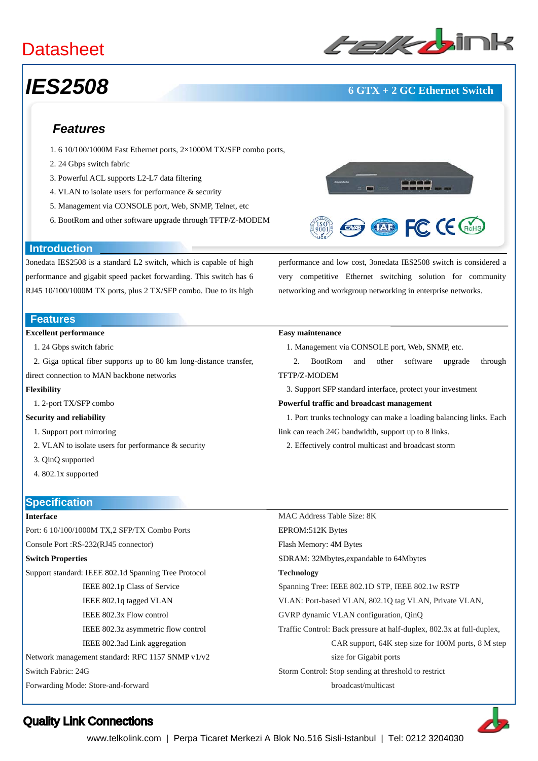## **Datasheet**

# *IES2508* **6 GTX + 2 GC Ethernet Switch**

**ED FC CE CROHS** 

### *Features*

- 1. 6 10/100/1000M Fast Ethernet ports, 2×1000M TX/SFP combo ports,
- 2. 24 Gbps switch fabric
- 3. Powerful ACL supports L2-L7 data filtering
- 4. VLAN to isolate users for performance & security
- 5. Management via CONSOLE port, Web, SNMP, Telnet, etc
- 6. BootRom and other software upgrade through TFTP/Z-MODEM



3onedata IES2508 is a standard L2 switch, which is capable of high performance and gigabit speed packet forwarding. This switch has 6 RJ45 10/100/1000M TX ports, plus 2 TX/SFP combo. Due to its high

#### **Features**

#### **Excellent performance**

- 1. 24 Gbps switch fabric
- 2. Giga optical fiber supports up to 80 km long-distance transfer,
- direct connection to MAN backbone networks

#### **Flexibility**

1. 2-port TX/SFP combo

#### **Security and reliability**

- 1. Support port mirroring
- 2. VLAN to isolate users for performance & security
- 3. QinQ supported
- 4. 802.1x supported

#### **Easy maintenance**

- 1. Management via CONSOLE port, Web, SNMP, etc.
- 2. BootRom and other software upgrade through TFTP/Z-MODEM

performance and low cost, 3onedata IES2508 switch is considered a very competitive Ethernet switching solution for community

networking and workgroup networking in enterprise networks.

- 3. Support SFP standard interface, protect your investment
- **Powerful traffic and broadcast management**
- 1. Port trunks technology can make a loading balancing links. Each link can reach 24G bandwidth, support up to 8 links.
	- 2. Effectively control multicast and broadcast storm

## **Specification**

### **Interface**

Port: 6 10/100/1000M TX,2 SFP/TX Combo Ports Console Port :RS-232(RJ45 connector) **Switch Properties**  Support standard: IEEE 802.1d Spanning Tree Protocol IEEE 802.1p Class of Service IEEE 802.1q tagged VLAN IEEE 802.3x Flow control IEEE 802.3z asymmetric flow control IEEE 802.3ad Link aggregation

Network management standard: RFC 1157 SNMP v1/v2

Switch Fabric: 24G

Forwarding Mode: Store-and-forward

MAC Address Table Size: 8K EPROM:512K Bytes Flash Memory: 4M Bytes SDRAM: 32Mbytes,expandable to 64Mbytes **Technology**  Spanning Tree: IEEE 802.1D STP, IEEE 802.1w RSTP VLAN: Port-based VLAN, 802.1Q tag VLAN, Private VLAN, GVRP dynamic VLAN configuration, QinQ Traffic Control: Back pressure at half-duplex, 802.3x at full-duplex, CAR support, 64K step size for 100M ports, 8 M step size for Gigabit ports Storm Control: Stop sending at threshold to restrict broadcast/multicast



### Quality Link Connections

www.telkolink.com | Perpa Ticaret Merkezi A Blok No.516 Sisli-Istanbul | Tel: 0212 3204030